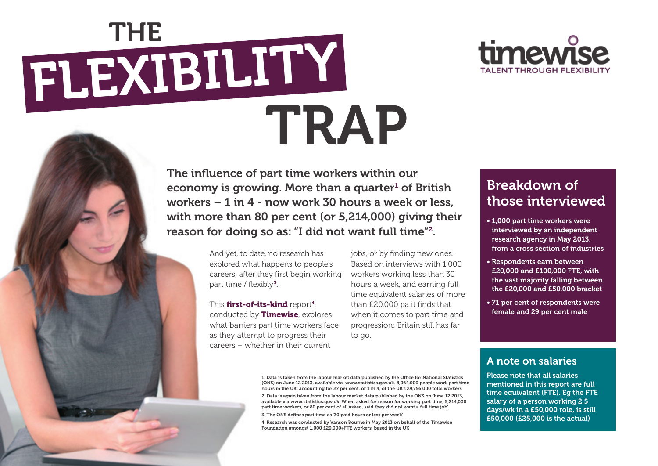

# flexibility **THE** TRAP

The influence of part time workers within our economy is growing. More than a quarter<sup>1</sup> of British workers – 1 in 4 - now work 30 hours a week or less, with more than 80 per cent (or 5,214,000) giving their reason for doing so as: "I did not want full time"2.

> And yet, to date, no research has explored what happens to people's careers, after they first begin working part time / flexibly 3 .

This first-of-its-kind report<sup>4</sup>, conducted by **Timewise**, explores what barriers part time workers face as they attempt to progress their careers – whether in their current

jobs, or by finding new ones. Based on interviews with 1,000 workers working less than 30 hours a week, and earning full time equivalent salaries of more than £20,000 pa it finds that when it comes to part time and progression: Britain still has far to go.

#### Breakdown of those interviewed

- 1,000 part time workers were interviewed by an independent research agency in May 2013, from a cross section of industries
- Respondents earn between £20,000 and £100,000 FTE, with the vast majority falling between the £20,000 and £50,000 bracket
- 71 per cent of respondents were female and 29 per cent male

#### A note on salaries

Please note that all salaries mentioned in this report are full time equivalent (FTE). Eg the FTE salary of a person working 2.5 days/wk in a £50,000 role, is still £50,000 (£25,000 is the actual)

1. Data is taken from the labour market data published by the Office for National Statistics (ONS) on June 12 2013, available via www.statistics.gov.uk. 8,064,000 people work part time hours in the UK, accounting for 27 per cent, or 1 in 4, of the UK's 29,756,000 total workers

2. Data is again taken from the labour market data published by the ONS on June 12 2013, available via www.statistics.gov.uk. When asked for reason for working part time, 5,214,000 part time workers, or 80 per cent of all asked, said they 'did not want a full time job'.

3. The ONS defines part time as '30 paid hours or less per week'

4. Research was conducted by Vanson Bourne in May 2013 on behalf of the Timewise Foundation amongst 1,000 £20,000+FTE workers, based in the UK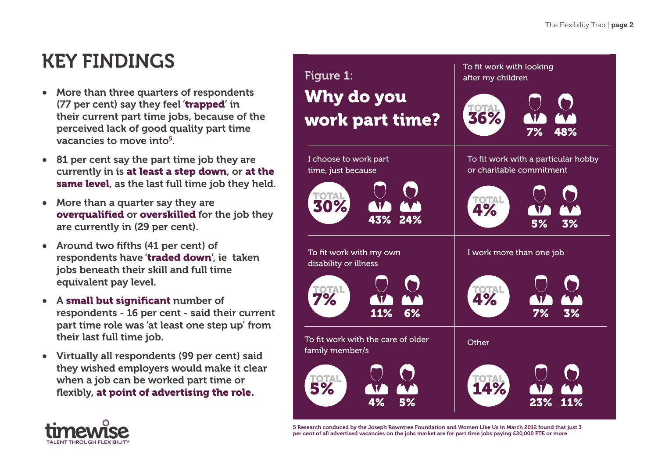## KEY FINDINGS

- More than three quarters of respondents (77 per cent) say they feel 'trapped' in their current part time jobs, because of the perceived lack of good quality part time vacancies to move into5.
- 81 per cent say the part time job they are currently in is at least a step down, or at the same level, as the last full time job they held.
- More than a quarter say they are overqualified or overskilled for the job they are currently in (29 per cent).
- Around two fifths (41 per cent) of respondents have 'traded down', ie taken jobs beneath their skill and full time equivalent pay level.
- A small but significant number of respondents - 16 per cent - said their current part time role was 'at least one step up' from their last full time job.
- Virtually all respondents (99 per cent) said they wished employers would make it clear when a job can be worked part time or flexibly, at point of advertising the role.



5 Research conduced by the Joseph Rowntree Foundation and Women Like Us in March 2012 found that just 3 per cent of all advertised vacancies on the jobs market are for part time jobs paying £20,000 FTE or more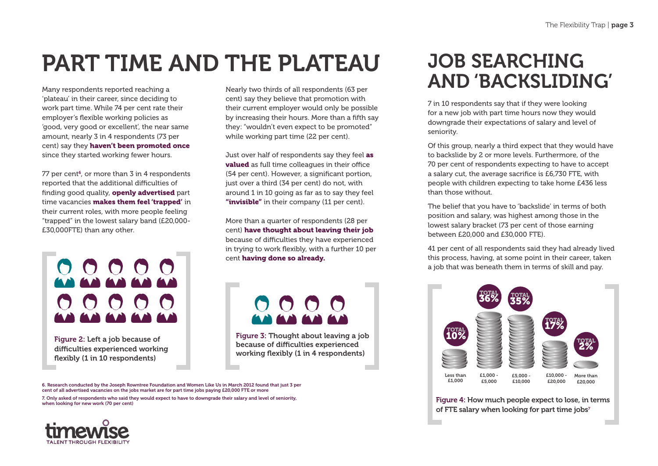## Part time and the plateau

Many respondents reported reaching a 'plateau' in their career, since deciding to work part time. While 74 per cent rate their employer's flexible working policies as 'good, very good or excellent', the near same amount, nearly 3 in 4 respondents (73 per cent) say they haven't been promoted once since they started working fewer hours.

77 per cent<sup>6</sup>, or more than 3 in 4 respondents reported that the additional difficulties of finding good quality, **openly advertised** part time vacancies **makes them feel 'trapped'** in their current roles, with more people feeling "trapped" in the lowest salary band (£20,000- £30,000FTE) than any other.



Figure 2: Left a job because of difficulties experienced working flexibly (1 in 10 respondents)

Nearly two thirds of all respondents (63 per cent) say they believe that promotion with their current employer would only be possible by increasing their hours. More than a fifth say they: "wouldn't even expect to be promoted" while working part time (22 per cent).

Just over half of respondents say they feel as valued as full time colleagues in their office (54 per cent). However, a significant portion, just over a third (34 per cent) do not, with around 1 in 10 going as far as to say they feel "invisible" in their company (11 per cent).

More than a quarter of respondents (28 per cent) have thought about leaving their job because of difficulties they have experienced in trying to work flexibly, with a further 10 per cent having done so already.



Figure 3: Thought about leaving a job because of difficulties experienced working flexibly (1 in 4 respondents)

6. Research conducted by the Joseph Rowntree Foundation and Women Like Us in March 2012 found that just 3 per cent of all advertised vacancies on the jobs market are for part time jobs paying £20,000 FTE or more 7. Only asked of respondents who said they would expect to have to downgrade their salary and level of seniority, when looking for new work (70 per cent)

#### **JOB SEARCHING** and 'backsliding'

7 in 10 respondents say that if they were looking for a new job with part time hours now they would downgrade their expectations of salary and level of seniority.

Of this group, nearly a third expect that they would have to backslide by 2 or more levels. Furthermore, of the 70 per cent of respondents expecting to have to accept a salary cut, the average sacrifice is £6,730 FTE, with people with children expecting to take home £436 less than those without.

The belief that you have to 'backslide' in terms of both position and salary, was highest among those in the lowest salary bracket (73 per cent of those earning between £20,000 and £30,000 FTE).

41 per cent of all respondents said they had already lived this process, having, at some point in their career, taken a job that was beneath them in terms of skill and pay.



Figure 4: How much people expect to lose, in terms of FTE salary when looking for part time jobs<sup>7</sup>

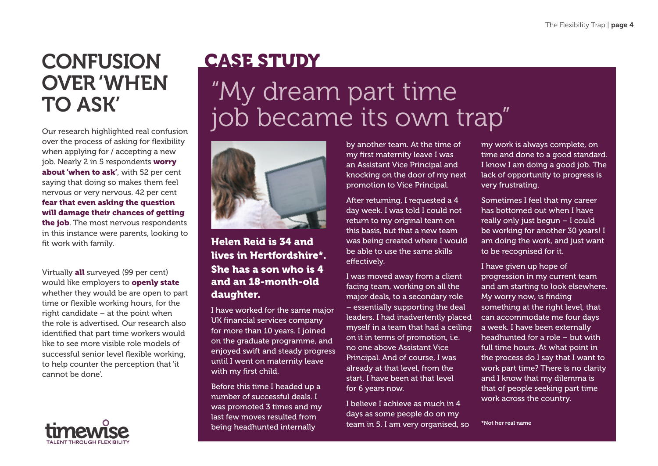### **CONFUSION** over 'when to ask'

Our research highlighted real confusion over the process of asking for flexibility when applying for / accepting a new job. Nearly 2 in 5 respondents worry about 'when to ask', with 52 per cent saying that doing so makes them feel nervous or very nervous. 42 per cent fear that even asking the question will damage their chances of getting the job. The most nervous respondents in this instance were parents, looking to fit work with family.

Virtually all surveyed (99 per cent) would like employers to **openly state** whether they would be are open to part time or flexible working hours, for the right candidate – at the point when the role is advertised. Our research also identified that part time workers would like to see more visible role models of successful senior level flexible working, to help counter the perception that 'it cannot be done'.



## **CASE STUDY**

# "My dream part time job became its own trap"



Helen Reid is 34 and lives in Hertfordshire\*. She has a son who is 4 and an 18-month-old daughter.

I have worked for the same major UK financial services company for more than 10 years. I joined on the graduate programme, and enjoyed swift and steady progress until I went on maternity leave with my first child.

Before this time I headed up a number of successful deals. I was promoted 3 times and my last few moves resulted from being headhunted internally

by another team. At the time of my first maternity leave I was an Assistant Vice Principal and knocking on the door of my next promotion to Vice Principal.

After returning, I requested a 4 day week. I was told I could not return to my original team on this basis, but that a new team was being created where I would be able to use the same skills effectively.

I was moved away from a client facing team, working on all the major deals, to a secondary role – essentially supporting the deal leaders. I had inadvertently placed myself in a team that had a ceiling on it in terms of promotion, i.e. no one above Assistant Vice Principal. And of course, I was already at that level, from the start. I have been at that level for 6 years now.

I believe I achieve as much in 4 days as some people do on my team in 5. I am very organised, so

my work is always complete, on time and done to a good standard. I know I am doing a good job. The lack of opportunity to progress is very frustrating.

Sometimes I feel that my career has bottomed out when I have really only just begun – I could be working for another 30 years! I am doing the work, and just want to be recognised for it.

I have given up hope of progression in my current team and am starting to look elsewhere. My worry now, is finding something at the right level, that can accommodate me four days a week. I have been externally headhunted for a role – but with full time hours. At what point in the process do I say that I want to work part time? There is no clarity and I know that my dilemma is that of people seeking part time work across the country.

\*Not her real name